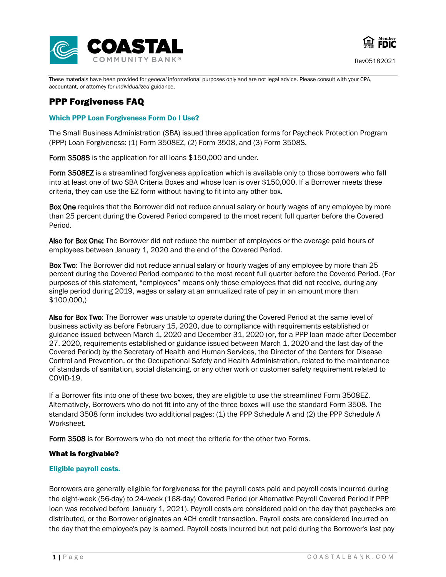



These materials have been provided for *general* informational purposes only and are not legal advice. Please consult with your CPA, accountant, or attorney for *individualized* guidance.

# PPP Forgiveness FAQ

# Which PPP Loan Forgiveness Form Do I Use?

The Small Business Administration (SBA) issued three application forms for Paycheck Protection Program (PPP) Loan Forgiveness: (1) Form 3508EZ, (2) Form 3508, and (3) Form 3508S.

Form 3508S is the application for all loans \$150,000 and under.

Form 3508EZ is a streamlined forgiveness application which is available only to those borrowers who fall into at least one of two SBA Criteria Boxes and whose loan is over \$150,000. If a Borrower meets these criteria, they can use the EZ form without having to fit into any other box.

Box One requires that the Borrower did not reduce annual salary or hourly wages of any employee by more than 25 percent during the Covered Period compared to the most recent full quarter before the Covered Period.

Also for Box One: The Borrower did not reduce the number of employees or the average paid hours of employees between January 1, 2020 and the end of the Covered Period.

Box Two: The Borrower did not reduce annual salary or hourly wages of any employee by more than 25 percent during the Covered Period compared to the most recent full quarter before the Covered Period. (For purposes of this statement, "employees" means only those employees that did not receive, during any single period during 2019, wages or salary at an annualized rate of pay in an amount more than \$100,000,)

Also for Box Two: The Borrower was unable to operate during the Covered Period at the same level of business activity as before February 15, 2020, due to compliance with requirements established or guidance issued between March 1, 2020 and December 31, 2020 (or, for a PPP loan made after December 27, 2020, requirements established or guidance issued between March 1, 2020 and the last day of the Covered Period) by the Secretary of Health and Human Services, the Director of the Centers for Disease Control and Prevention, or the Occupational Safety and Health Administration, related to the maintenance of standards of sanitation, social distancing, or any other work or customer safety requirement related to COVID-19.

If a Borrower fits into one of these two boxes, they are eligible to use the streamlined Form 3508EZ. Alternatively, Borrowers who do not fit into any of the three boxes will use the standard Form 3508. The standard 3508 form includes two additional pages: (1) the PPP Schedule A and (2) the PPP Schedule A Worksheet.

Form 3508 is for Borrowers who do not meet the criteria for the other two Forms.

# What is forgivable?

# Eligible payroll costs.

Borrowers are generally eligible for forgiveness for the payroll costs paid and payroll costs incurred during the eight-week (56-day) to 24-week (168-day) Covered Period (or Alternative Payroll Covered Period if PPP loan was received before January 1, 2021). Payroll costs are considered paid on the day that paychecks are distributed, or the Borrower originates an ACH credit transaction. Payroll costs are considered incurred on the day that the employee's pay is earned. Payroll costs incurred but not paid during the Borrower's last pay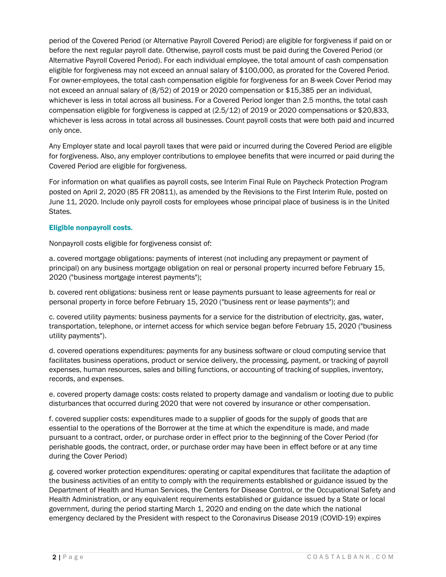period of the Covered Period (or Alternative Payroll Covered Period) are eligible for forgiveness if paid on or before the next regular payroll date. Otherwise, payroll costs must be paid during the Covered Period (or Alternative Payroll Covered Period). For each individual employee, the total amount of cash compensation eligible for forgiveness may not exceed an annual salary of \$100,000, as prorated for the Covered Period. For owner-employees, the total cash compensation eligible for forgiveness for an 8-week Cover Period may not exceed an annual salary of (8/52) of 2019 or 2020 compensation or \$15,385 per an individual, whichever is less in total across all business. For a Covered Period longer than 2.5 months, the total cash compensation eligible for forgiveness is capped at (2.5/12) of 2019 or 2020 compensations or \$20,833, whichever is less across in total across all businesses. Count payroll costs that were both paid and incurred only once.

Any Employer state and local payroll taxes that were paid or incurred during the Covered Period are eligible for forgiveness. Also, any employer contributions to employee benefits that were incurred or paid during the Covered Period are eligible for forgiveness.

For information on what qualifies as payroll costs, see Interim Final Rule on Paycheck Protection Program posted on April 2, 2020 [\(85 FR 20811\), as amended by the Revisions to the First Interim Rule, posted on](https://www.govinfo.gov/content/pkg/FR-2020-04-15/pdf/2020-07672.pdf)  [June 11, 2020. Include only payroll costs for employees whose principal place of business is in the United](https://www.govinfo.gov/content/pkg/FR-2020-04-15/pdf/2020-07672.pdf)  [States.](https://www.govinfo.gov/content/pkg/FR-2020-04-15/pdf/2020-07672.pdf)

# Eligible nonpayroll costs.

Nonpayroll costs eligible for forgiveness consist of:

a. covered mortgage obligations: payments of interest (not including any prepayment or payment of principal) on any business mortgage obligation on real or personal property incurred before February 15, 2020 ("business mortgage interest payments");

b. covered rent obligations: business rent or lease payments pursuant to lease agreements for real or personal property in force before February 15, 2020 ("business rent or lease payments"); and

c. covered utility payments: business payments for a service for the distribution of electricity, gas, water, transportation, telephone, or internet access for which service began before February 15, 2020 ("business utility payments").

d. covered operations expenditures: payments for any business software or cloud computing service that facilitates business operations, product or service delivery, the processing, payment, or tracking of payroll expenses, human resources, sales and billing functions, or accounting of tracking of supplies, inventory, records, and expenses.

e. covered property damage costs: costs related to property damage and vandalism or looting due to public disturbances that occurred during 2020 that were not covered by insurance or other compensation.

f. covered supplier costs: expenditures made to a supplier of goods for the supply of goods that are essential to the operations of the Borrower at the time at which the expenditure is made, and made pursuant to a contract, order, or purchase order in effect prior to the beginning of the Cover Period (for perishable goods, the contract, order, or purchase order may have been in effect before or at any time during the Cover Period)

g. covered worker protection expenditures: operating or capital expenditures that facilitate the adaption of the business activities of an entity to comply with the requirements established or guidance issued by the Department of Health and Human Services, the Centers for Disease Control, or the Occupational Safety and Health Administration, or any equivalent requirements established or guidance issued by a State or local government, during the period starting March 1, 2020 and ending on the date which the national emergency declared by the President with respect to the Coronavirus Disease 2019 (COVID-19) expires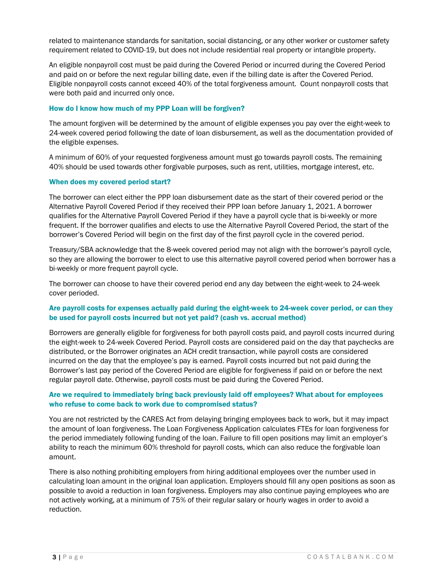related to maintenance standards for sanitation, social distancing, or any other worker or customer safety requirement related to COVID-19, but does not include residential real property or intangible property.

An eligible nonpayroll cost must be paid during the Covered Period or incurred during the Covered Period and paid on or before the next regular billing date, even if the billing date is after the Covered Period. Eligible nonpayroll costs cannot exceed 40% of the total forgiveness amount. Count nonpayroll costs that were both paid and incurred only once.

# How do I know how much of my PPP Loan will be forgiven?

The amount forgiven will be determined by the amount of eligible expenses you pay over the eight-week to 24-week covered period following the date of loan disbursement, as well as the documentation provided of the eligible expenses.

A minimum of 60% of your requested forgiveness amount must go towards payroll costs. The remaining 40% should be used towards other forgivable purposes, such as rent, utilities, mortgage interest, etc.

# When does my covered period start?

The borrower can elect either the PPP loan disbursement date as the start of their covered period or the Alternative Payroll Covered Period if they received their PPP loan before January 1, 2021. A borrower qualifies for the Alternative Payroll Covered Period if they have a payroll cycle that is bi-weekly or more frequent. If the borrower qualifies and elects to use the Alternative Payroll Covered Period, the start of the borrower's Covered Period will begin on the first day of the first payroll cycle in the covered period.

Treasury/SBA acknowledge that the 8-week covered period may not align with the borrower's payroll cycle, so they are allowing the borrower to elect to use this alternative payroll covered period when borrower has a bi-weekly or more frequent payroll cycle.

The borrower can choose to have their covered period end any day between the eight-week to 24-week cover perioded.

# Are payroll costs for expenses actually paid during the eight-week to 24-week cover period, or can they be used for payroll costs incurred but not yet paid? (cash vs. accrual method)

Borrowers are generally eligible for forgiveness for both payroll costs paid, and payroll costs incurred during the eight-week to 24-week Covered Period. Payroll costs are considered paid on the day that paychecks are distributed, or the Borrower originates an ACH credit transaction, while payroll costs are considered incurred on the day that the employee's pay is earned. Payroll costs incurred but not paid during the Borrower's last pay period of the Covered Period are eligible for forgiveness if paid on or before the next regular payroll date. Otherwise, payroll costs must be paid during the Covered Period.

# Are we required to immediately bring back previously laid off employees? What about for employees who refuse to come back to work due to compromised status?

You are not restricted by the CARES Act from delaying bringing employees back to work, but it may impact the amount of loan forgiveness. The Loan Forgiveness Application calculates FTEs for loan forgiveness for the period immediately following funding of the loan. Failure to fill open positions may limit an employer's ability to reach the minimum 60% threshold for payroll costs, which can also reduce the forgivable loan amount.

There is also nothing prohibiting employers from hiring additional employees over the number used in calculating loan amount in the original loan application. Employers should fill any open positions as soon as possible to avoid a reduction in loan forgiveness. Employers may also continue paying employees who are not actively working, at a minimum of 75% of their regular salary or hourly wages in order to avoid a reduction.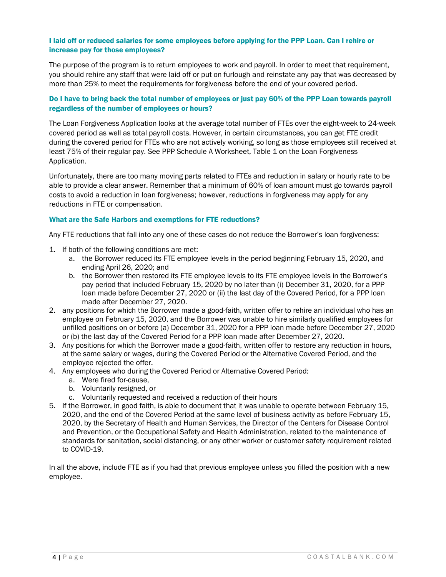# I laid off or reduced salaries for some employees before applying for the PPP Loan. Can I rehire or increase pay for those employees?

The purpose of the program is to return employees to work and payroll. In order to meet that requirement, you should rehire any staff that were laid off or put on furlough and reinstate any pay that was decreased by more than 25% to meet the requirements for forgiveness before the end of your covered period.

# Do I have to bring back the total number of employees or just pay 60% of the PPP Loan towards payroll regardless of the number of employees or hours?

The Loan Forgiveness Application looks at the average total number of FTEs over the eight-week to 24-week covered period as well as total payroll costs. However, in certain circumstances, you can get FTE credit during the covered period for FTEs who are not actively working, so long as those employees still received at least 75% of their regular pay. See PPP Schedule A Worksheet, Table 1 on the Loan Forgiveness Application.

Unfortunately, there are too many moving parts related to FTEs and reduction in salary or hourly rate to be able to provide a clear answer. Remember that a minimum of 60% of loan amount must go towards payroll costs to avoid a reduction in loan forgiveness; however, reductions in forgiveness may apply for any reductions in FTE or compensation.

# What are the Safe Harbors and exemptions for FTE reductions?

Any FTE reductions that fall into any one of these cases do not reduce the Borrower's loan forgiveness:

- 1. If both of the following conditions are met:
	- a. the Borrower reduced its FTE employee levels in the period beginning February 15, 2020, and ending April 26, 2020; and
	- b. the Borrower then restored its FTE employee levels to its FTE employee levels in the Borrower's pay period that included February 15, 2020 by no later than (i) December 31, 2020, for a PPP loan made before December 27, 2020 or (ii) the last day of the Covered Period, for a PPP loan made after December 27, 2020.
- 2. any positions for which the Borrower made a good-faith, written offer to rehire an individual who has an employee on February 15, 2020, and the Borrower was unable to hire similarly qualified employees for unfilled positions on or before (a) December 31, 2020 for a PPP loan made before December 27, 2020 or (b) the last day of the Covered Period for a PPP loan made after December 27, 2020.
- 3. Any positions for which the Borrower made a good-faith, written offer to restore any reduction in hours, at the same salary or wages, during the Covered Period or the Alternative Covered Period, and the employee rejected the offer.
- 4. Any employees who during the Covered Period or Alternative Covered Period:
	- a. Were fired for-cause,
	- b. Voluntarily resigned, or
	- c. Voluntarily requested and received a reduction of their hours
- 5. If the Borrower, in good faith, is able to document that it was unable to operate between February 15, 2020, and the end of the Covered Period at the same level of business activity as before February 15, 2020, by the Secretary of Health and Human Services, the Director of the Centers for Disease Control and Prevention, or the Occupational Safety and Health Administration, related to the maintenance of standards for sanitation, social distancing, or any other worker or customer safety requirement related to COVID-19.

In all the above, include FTE as if you had that previous employee unless you filled the position with a new employee.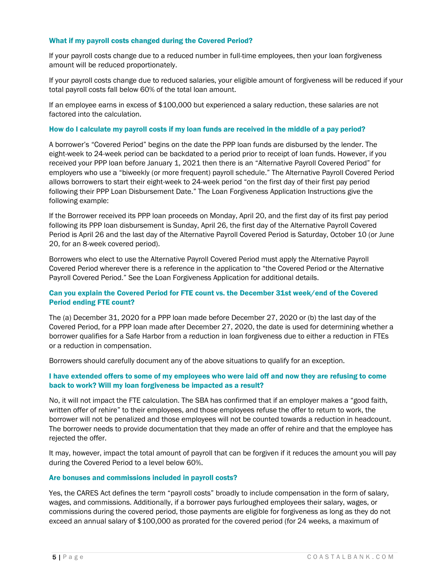#### What if my payroll costs changed during the Covered Period?

If your payroll costs change due to a reduced number in full-time employees, then your loan forgiveness amount will be reduced proportionately.

If your payroll costs change due to reduced salaries, your eligible amount of forgiveness will be reduced if your total payroll costs fall below 60% of the total loan amount.

If an employee earns in excess of \$100,000 but experienced a salary reduction, these salaries are not factored into the calculation.

# How do I calculate my payroll costs if my loan funds are received in the middle of a pay period?

A borrower's "Covered Period" begins on the date the PPP loan funds are disbursed by the lender. The eight-week to 24-week period can be backdated to a period prior to receipt of loan funds. However, if you received your PPP loan before January 1, 2021 then there is an "Alternative Payroll Covered Period" for employers who use a "biweekly (or more frequent) payroll schedule." The Alternative Payroll Covered Period allows borrowers to start their eight-week to 24-week period "on the first day of their first pay period following their PPP Loan Disbursement Date." The Loan Forgiveness Application Instructions give the following example:

If the Borrower received its PPP loan proceeds on Monday, April 20, and the first day of its first pay period following its PPP loan disbursement is Sunday, April 26, the first day of the Alternative Payroll Covered Period is April 26 and the last day of the Alternative Payroll Covered Period is Saturday, October 10 (or June 20, for an 8-week covered period).

Borrowers who elect to use the Alternative Payroll Covered Period must apply the Alternative Payroll Covered Period wherever there is a reference in the application to "the Covered Period or the Alternative Payroll Covered Period." See the Loan Forgiveness Application for additional details.

# Can you explain the Covered Period for FTE count vs. the December 31st week/end of the Covered Period ending FTE count?

The (a) December 31, 2020 for a PPP loan made before December 27, 2020 or (b) the last day of the Covered Period, for a PPP loan made after December 27, 2020, the date is used for determining whether a borrower qualifies for a Safe Harbor from a reduction in loan forgiveness due to either a reduction in FTEs or a reduction in compensation.

Borrowers should carefully document any of the above situations to qualify for an exception.

# I have extended offers to some of my employees who were laid off and now they are refusing to come back to work? Will my loan forgiveness be impacted as a result?

No, it will not impact the FTE calculation. The SBA has confirmed that if an employer makes a "good faith, written offer of rehire" to their employees, and those employees refuse the offer to return to work, the borrower will not be penalized and those employees will not be counted towards a reduction in headcount. The borrower needs to provide documentation that they made an offer of rehire and that the employee has rejected the offer.

It may, however, impact the total amount of payroll that can be forgiven if it reduces the amount you will pay during the Covered Period to a level below 60%.

#### Are bonuses and commissions included in payroll costs?

Yes, the CARES Act defines the term "payroll costs" broadly to include compensation in the form of salary, wages, and commissions. Additionally, if a borrower pays furloughed employees their salary, wages, or commissions during the covered period, those payments are eligible for forgiveness as long as they do not exceed an annual salary of \$100,000 as prorated for the covered period (for 24 weeks, a maximum of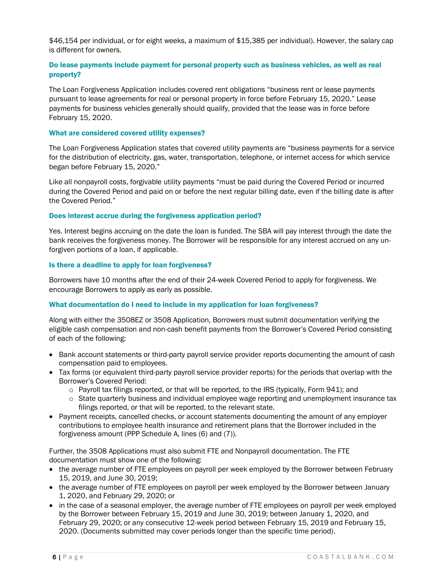\$46,154 per individual, or for eight weeks, a maximum of \$15,385 per individual). However, the salary cap is different for owners.

# Do lease payments include payment for personal property such as business vehicles, as well as real property?

The Loan Forgiveness Application includes covered rent obligations "business rent or lease payments pursuant to lease agreements for real or personal property in force before February 15, 2020." Lease payments for business vehicles generally should qualify, provided that the lease was in force before February 15, 2020.

#### What are considered covered utility expenses?

The Loan Forgiveness Application states that covered utility payments are "business payments for a service for the distribution of electricity, gas, water, transportation, telephone, or internet access for which service began before February 15, 2020."

Like all nonpayroll costs, forgivable utility payments "must be paid during the Covered Period or incurred during the Covered Period and paid on or before the next regular billing date, even if the billing date is after the Covered Period."

# Does interest accrue during the forgiveness application period?

Yes. Interest begins accruing on the date the loan is funded. The SBA will pay interest through the date the bank receives the forgiveness money. The Borrower will be responsible for any interest accrued on any unforgiven portions of a loan, if applicable.

#### Is there a deadline to apply for loan forgiveness?

Borrowers have 10 months after the end of their 24-week Covered Period to apply for forgiveness. We encourage Borrowers to apply as early as possible.

# What documentation do I need to include in my application for loan forgiveness?

Along with either the 3508EZ or 3508 Application, Borrowers must submit documentation verifying the eligible cash compensation and non-cash benefit payments from the Borrower's Covered Period consisting of each of the following:

- Bank account statements or third-party payroll service provider reports documenting the amount of cash compensation paid to employees.
- Tax forms (or equivalent third-party payroll service provider reports) for the periods that overlap with the Borrower's Covered Period:
	- $\circ$  Payroll tax filings reported, or that will be reported, to the IRS (typically, Form 941); and
	- $\circ$  State quarterly business and individual employee wage reporting and unemployment insurance tax filings reported, or that will be reported, to the relevant state.
- Payment receipts, cancelled checks, or account statements documenting the amount of any employer contributions to employee health insurance and retirement plans that the Borrower included in the forgiveness amount (PPP Schedule A, lines (6) and (7)).

Further, the 3508 Applications must also submit FTE and Nonpayroll documentation. The FTE documentation must show one of the following:

- the average number of FTE employees on payroll per week employed by the Borrower between February 15, 2019, and June 30, 2019;
- the average number of FTE employees on payroll per week employed by the Borrower between January 1, 2020, and February 29, 2020; or
- in the case of a seasonal employer, the average number of FTE employees on payroll per week employed by the Borrower between February 15, 2019 and June 30, 2019; between January 1, 2020, and February 29, 2020; or any consecutive 12-week period between February 15, 2019 and February 15, 2020. (Documents submitted may cover periods longer than the specific time period).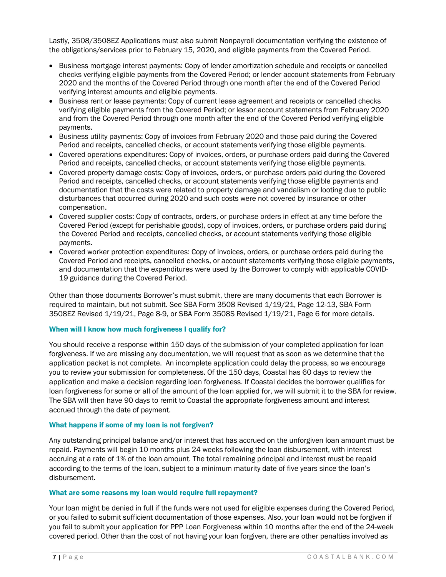Lastly, 3508/3508EZ Applications must also submit Nonpayroll documentation verifying the existence of the obligations/services prior to February 15, 2020, and eligible payments from the Covered Period.

- Business mortgage interest payments: Copy of lender amortization schedule and receipts or cancelled checks verifying eligible payments from the Covered Period; or lender account statements from February 2020 and the months of the Covered Period through one month after the end of the Covered Period verifying interest amounts and eligible payments.
- Business rent or lease payments: Copy of current lease agreement and receipts or cancelled checks verifying eligible payments from the Covered Period; or lessor account statements from February 2020 and from the Covered Period through one month after the end of the Covered Period verifying eligible payments.
- Business utility payments: Copy of invoices from February 2020 and those paid during the Covered Period and receipts, cancelled checks, or account statements verifying those eligible payments.
- Covered operations expenditures: Copy of invoices, orders, or purchase orders paid during the Covered Period and receipts, cancelled checks, or account statements verifying those eligible payments.
- Covered property damage costs: Copy of invoices, orders, or purchase orders paid during the Covered Period and receipts, cancelled checks, or account statements verifying those eligible payments and documentation that the costs were related to property damage and vandalism or looting due to public disturbances that occurred during 2020 and such costs were not covered by insurance or other compensation.
- Covered supplier costs: Copy of contracts, orders, or purchase orders in effect at any time before the Covered Period (except for perishable goods), copy of invoices, orders, or purchase orders paid during the Covered Period and receipts, cancelled checks, or account statements verifying those eligible payments.
- Covered worker protection expenditures: Copy of invoices, orders, or purchase orders paid during the Covered Period and receipts, cancelled checks, or account statements verifying those eligible payments, and documentation that the expenditures were used by the Borrower to comply with applicable COVID-19 guidance during the Covered Period.

Other than those documents Borrower's must submit, there are many documents that each Borrower is required to maintain, but not submit. See SBA Form 3508 Revised 1/19/21, Page 12-13, SBA Form 3508EZ Revised 1/19/21, Page 8-9, or SBA Form 3508S Revised 1/19/21, Page 6 for more details.

# When will I know how much forgiveness I qualify for?

You should receive a response within 150 days of the submission of your completed application for loan forgiveness. If we are missing any documentation, we will request that as soon as we determine that the application packet is not complete. An incomplete application could delay the process, so we encourage you to review your submission for completeness. Of the 150 days, Coastal has 60 days to review the application and make a decision regarding loan forgiveness. If Coastal decides the borrower qualifies for loan forgiveness for some or all of the amount of the loan applied for, we will submit it to the SBA for review. The SBA will then have 90 days to remit to Coastal the appropriate forgiveness amount and interest accrued through the date of payment.

#### What happens if some of my loan is not forgiven?

Any outstanding principal balance and/or interest that has accrued on the unforgiven loan amount must be repaid. Payments will begin 10 months plus 24 weeks following the loan disbursement, with interest accruing at a rate of 1% of the loan amount. The total remaining principal and interest must be repaid according to the terms of the loan, subject to a minimum maturity date of five years since the loan's disbursement.

# What are some reasons my loan would require full repayment?

Your loan might be denied in full if the funds were not used for eligible expenses during the Covered Period, or you failed to submit sufficient documentation of those expenses. Also, your loan would not be forgiven if you fail to submit your application for PPP Loan Forgiveness within 10 months after the end of the 24-week covered period. Other than the cost of not having your loan forgiven, there are other penalties involved as